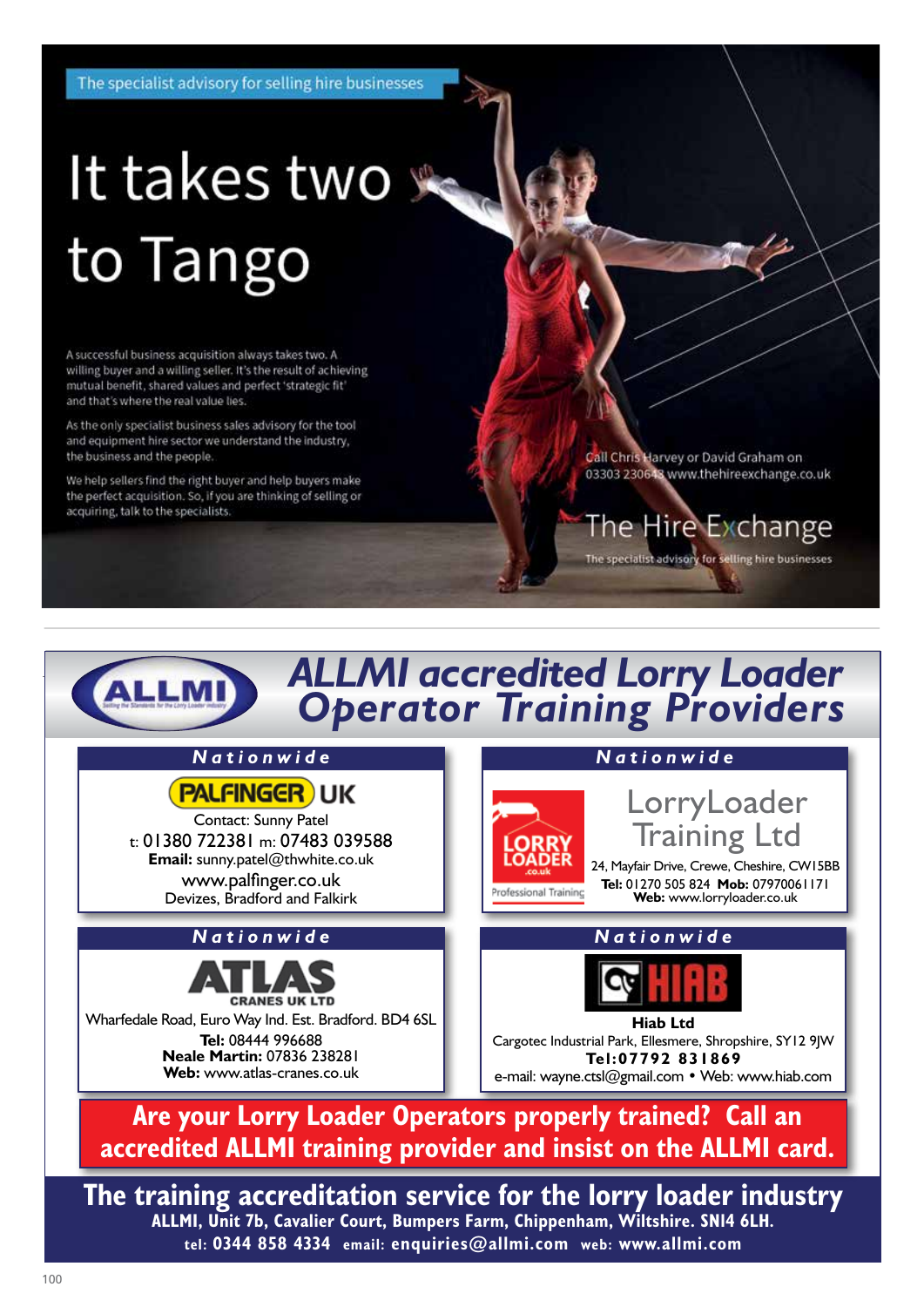The specialist advisory for selling hire businesses

# It takes two se to Tango

A successful business acquisition always takes two. A willing buyer and a willing seller. It's the result of achieving mutual benefit, shared values and perfect 'strategic fit' and that's where the real value lies.

As the only specialist business sales advisory for the tool and equipment hire sector we understand the industry. the business and the people.

We help sellers find the right buyer and help buyers make the perfect acquisition. So, if you are thinking of selling or acquiring, talk to the specialists.

Call Chris Harvey or David Graham on 03303 230648 www.thehireexchange.co.uk

## The Hire Exchange

The specialist advisory for selling hire businesses

# *ALLMI accredited Lorry Loader Operator Training Providers*



**ALLMI, Unit 7b, Cavalier Court, Bumpers Farm, Chippenham, Wiltshire. SN14 6LH. tel: 0344 858 4334 email: enquiries@allmi.com web: www.allmi.com**